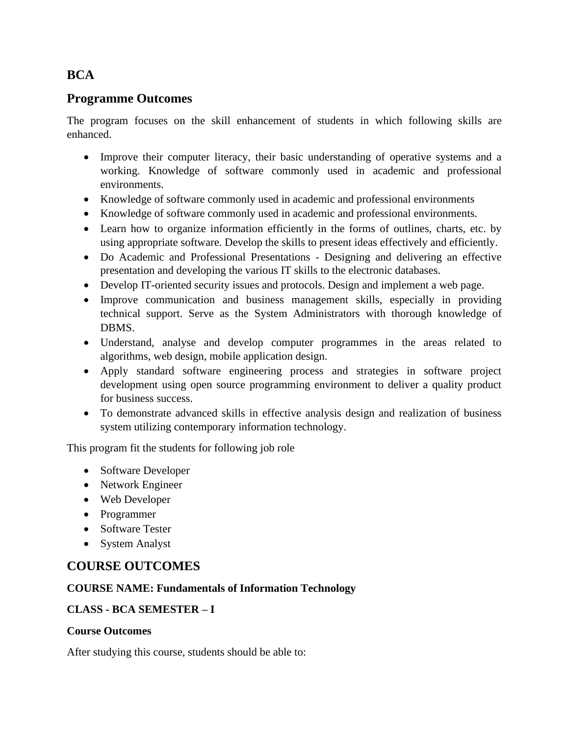# **BCA**

# **Programme Outcomes**

The program focuses on the skill enhancement of students in which following skills are enhanced.

- Improve their computer literacy, their basic understanding of operative systems and a working. Knowledge of software commonly used in academic and professional environments.
- Knowledge of software commonly used in academic and professional environments
- Knowledge of software commonly used in academic and professional environments.
- Learn how to organize information efficiently in the forms of outlines, charts, etc. by using appropriate software. Develop the skills to present ideas effectively and efficiently.
- Do Academic and Professional Presentations Designing and delivering an effective presentation and developing the various IT skills to the electronic databases.
- Develop IT-oriented security issues and protocols. Design and implement a web page.
- Improve communication and business management skills, especially in providing technical support. Serve as the System Administrators with thorough knowledge of DBMS.
- Understand, analyse and develop computer programmes in the areas related to algorithms, web design, mobile application design.
- Apply standard software engineering process and strategies in software project development using open source programming environment to deliver a quality product for business success.
- To demonstrate advanced skills in effective analysis design and realization of business system utilizing contemporary information technology.

This program fit the students for following job role

- Software Developer
- Network Engineer
- Web Developer
- Programmer
- Software Tester
- System Analyst

# **COURSE OUTCOMES**

### **COURSE NAME: Fundamentals of Information Technology**

### **CLASS - BCA SEMESTER – I**

#### **Course Outcomes**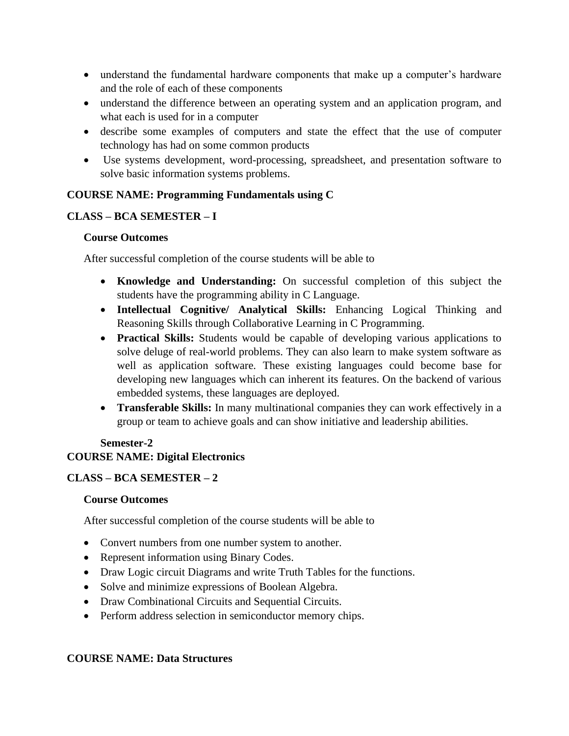- understand the fundamental hardware components that make up a computer's hardware and the role of each of these components
- understand the difference between an operating system and an application program, and what each is used for in a computer
- describe some examples of computers and state the effect that the use of computer technology has had on some common products
- Use systems development, word-processing, spreadsheet, and presentation software to solve basic information systems problems.

## **COURSE NAME: Programming Fundamentals using C**

## **CLASS – BCA SEMESTER – I**

### **Course Outcomes**

After successful completion of the course students will be able to

- **Knowledge and Understanding:** On successful completion of this subject the students have the programming ability in C Language.
- **Intellectual Cognitive/ Analytical Skills:** Enhancing Logical Thinking and Reasoning Skills through Collaborative Learning in C Programming.
- **Practical Skills:** Students would be capable of developing various applications to solve deluge of real-world problems. They can also learn to make system software as well as application software. These existing languages could become base for developing new languages which can inherent its features. On the backend of various embedded systems, these languages are deployed.
- **Transferable Skills:** In many multinational companies they can work effectively in a group or team to achieve goals and can show initiative and leadership abilities.

#### **Semester-2 COURSE NAME: Digital Electronics**

# **CLASS – BCA SEMESTER – 2**

### **Course Outcomes**

After successful completion of the course students will be able to

- Convert numbers from one number system to another.
- Represent information using Binary Codes.
- Draw Logic circuit Diagrams and write Truth Tables for the functions.
- Solve and minimize expressions of Boolean Algebra.
- Draw Combinational Circuits and Sequential Circuits.
- Perform address selection in semiconductor memory chips.

### **COURSE NAME: Data Structures**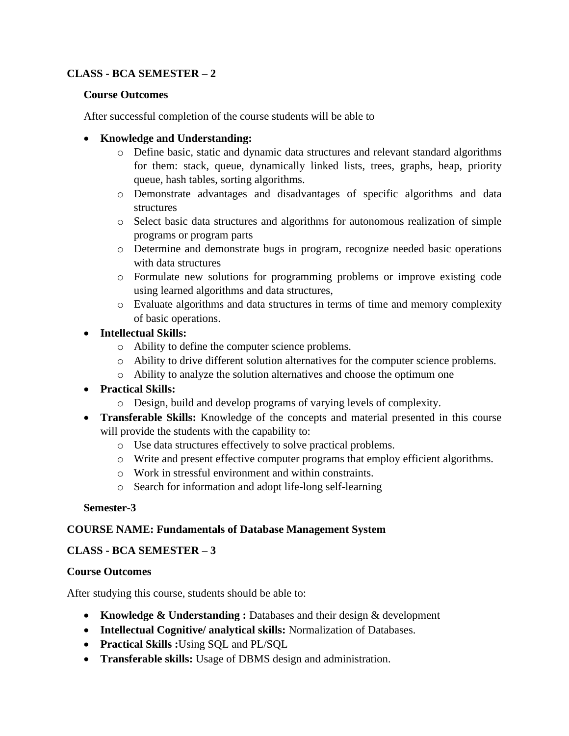## **CLASS - BCA SEMESTER – 2**

#### **Course Outcomes**

After successful completion of the course students will be able to

#### • **Knowledge and Understanding:**

- o Define basic, static and dynamic data structures and relevant standard algorithms for them: stack, queue, dynamically linked lists, trees, graphs, heap, priority queue, hash tables, sorting algorithms.
- o Demonstrate advantages and disadvantages of specific algorithms and data structures
- o Select basic data structures and algorithms for autonomous realization of simple programs or program parts
- o Determine and demonstrate bugs in program, recognize needed basic operations with data structures
- o Formulate new solutions for programming problems or improve existing code using learned algorithms and data structures,
- o Evaluate algorithms and data structures in terms of time and memory complexity of basic operations.
- **Intellectual Skills:** 
	- o Ability to define the computer science problems.
	- o Ability to drive different solution alternatives for the computer science problems.
	- o Ability to analyze the solution alternatives and choose the optimum one
- **Practical Skills:**
	- o Design, build and develop programs of varying levels of complexity.
- **Transferable Skills:** Knowledge of the concepts and material presented in this course will provide the students with the capability to:
	- o Use data structures effectively to solve practical problems.
	- o Write and present effective computer programs that employ efficient algorithms.
	- o Work in stressful environment and within constraints.
	- o Search for information and adopt life-long self-learning

### **Semester-3**

### **COURSE NAME: Fundamentals of Database Management System**

### **CLASS - BCA SEMESTER – 3**

### **Course Outcomes**

- **Knowledge & Understanding :** Databases and their design & development
- **Intellectual Cognitive/ analytical skills:** Normalization of Databases.
- **Practical Skills :**Using SQL and PL/SQL
- **Transferable skills:** Usage of DBMS design and administration.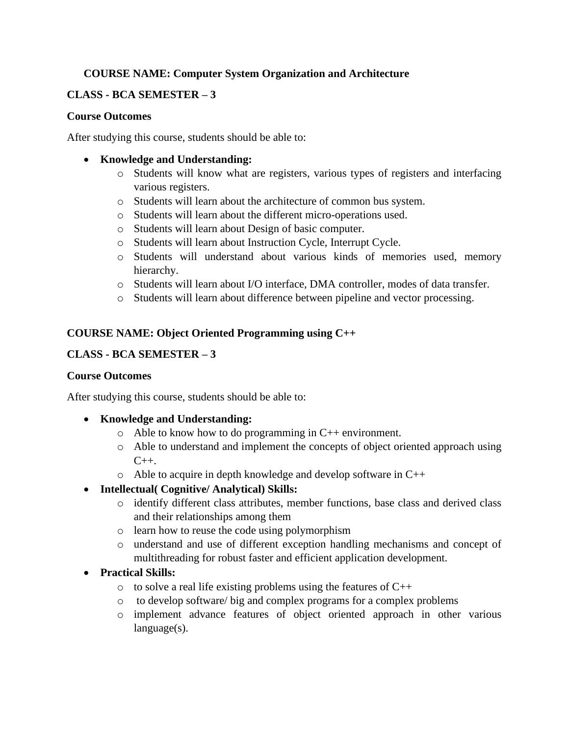## **COURSE NAME: Computer System Organization and Architecture**

### **CLASS - BCA SEMESTER – 3**

#### **Course Outcomes**

After studying this course, students should be able to:

#### • **Knowledge and Understanding:**

- o Students will know what are registers, various types of registers and interfacing various registers.
- o Students will learn about the architecture of common bus system.
- o Students will learn about the different micro-operations used.
- o Students will learn about Design of basic computer.
- o Students will learn about Instruction Cycle, Interrupt Cycle.
- o Students will understand about various kinds of memories used, memory hierarchy.
- o Students will learn about I/O interface, DMA controller, modes of data transfer.
- o Students will learn about difference between pipeline and vector processing.

### **COURSE NAME: Object Oriented Programming using C++**

### **CLASS - BCA SEMESTER – 3**

#### **Course Outcomes**

After studying this course, students should be able to:

### • **Knowledge and Understanding:**

- $\circ$  Able to know how to do programming in C++ environment.
- o Able to understand and implement the concepts of object oriented approach using  $C_{++}$ .
- o Able to acquire in depth knowledge and develop software in C++
- **Intellectual( Cognitive/ Analytical) Skills:**
	- o identify different class attributes, member functions, base class and derived class and their relationships among them
	- o learn how to reuse the code using polymorphism
	- o understand and use of different exception handling mechanisms and concept of multithreading for robust faster and efficient application development.

### • **Practical Skills:**

- $\circ$  to solve a real life existing problems using the features of C++
- o to develop software/ big and complex programs for a complex problems
- o implement advance features of object oriented approach in other various language(s).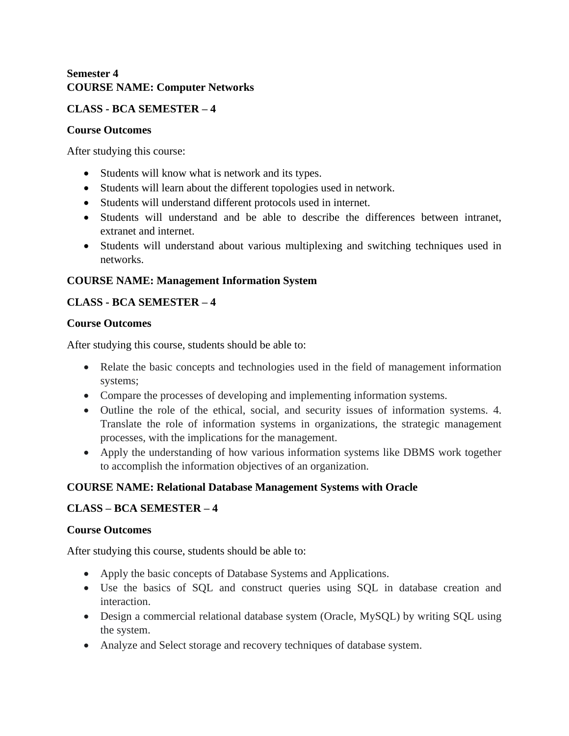### **Semester 4 COURSE NAME: Computer Networks**

## **CLASS - BCA SEMESTER – 4**

#### **Course Outcomes**

After studying this course:

- Students will know what is network and its types.
- Students will learn about the different topologies used in network.
- Students will understand different protocols used in internet.
- Students will understand and be able to describe the differences between intranet, extranet and internet.
- Students will understand about various multiplexing and switching techniques used in networks.

## **COURSE NAME: Management Information System**

## **CLASS - BCA SEMESTER – 4**

### **Course Outcomes**

After studying this course, students should be able to:

- Relate the basic concepts and technologies used in the field of management information systems;
- Compare the processes of developing and implementing information systems.
- Outline the role of the ethical, social, and security issues of information systems. 4. Translate the role of information systems in organizations, the strategic management processes, with the implications for the management.
- Apply the understanding of how various information systems like DBMS work together to accomplish the information objectives of an organization.

# **COURSE NAME: Relational Database Management Systems with Oracle**

# **CLASS – BCA SEMESTER – 4**

### **Course Outcomes**

- Apply the basic concepts of Database Systems and Applications.
- Use the basics of SQL and construct queries using SQL in database creation and interaction.
- Design a commercial relational database system (Oracle, MySQL) by writing SQL using the system.
- Analyze and Select storage and recovery techniques of database system.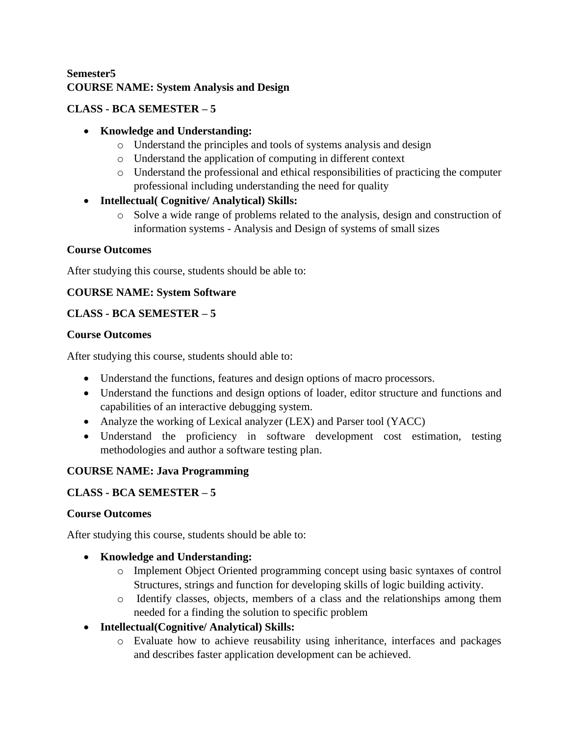# **Semester5 COURSE NAME: System Analysis and Design**

# **CLASS - BCA SEMESTER – 5**

## • **Knowledge and Understanding:**

- o Understand the principles and tools of systems analysis and design
- o Understand the application of computing in different context
- o Understand the professional and ethical responsibilities of practicing the computer professional including understanding the need for quality
- **Intellectual( Cognitive/ Analytical) Skills:** 
	- o Solve a wide range of problems related to the analysis, design and construction of information systems - Analysis and Design of systems of small sizes

## **Course Outcomes**

After studying this course, students should be able to:

## **COURSE NAME: System Software**

## **CLASS - BCA SEMESTER – 5**

### **Course Outcomes**

After studying this course, students should able to:

- Understand the functions, features and design options of macro processors.
- Understand the functions and design options of loader, editor structure and functions and capabilities of an interactive debugging system.
- Analyze the working of Lexical analyzer (LEX) and Parser tool (YACC)
- Understand the proficiency in software development cost estimation, testing methodologies and author a software testing plan.

# **COURSE NAME: Java Programming**

# **CLASS - BCA SEMESTER – 5**

### **Course Outcomes**

After studying this course, students should be able to:

### • **Knowledge and Understanding:**

- o Implement Object Oriented programming concept using basic syntaxes of control Structures, strings and function for developing skills of logic building activity.
- o Identify classes, objects, members of a class and the relationships among them needed for a finding the solution to specific problem
- **Intellectual(Cognitive/ Analytical) Skills:**
	- o Evaluate how to achieve reusability using inheritance, interfaces and packages and describes faster application development can be achieved.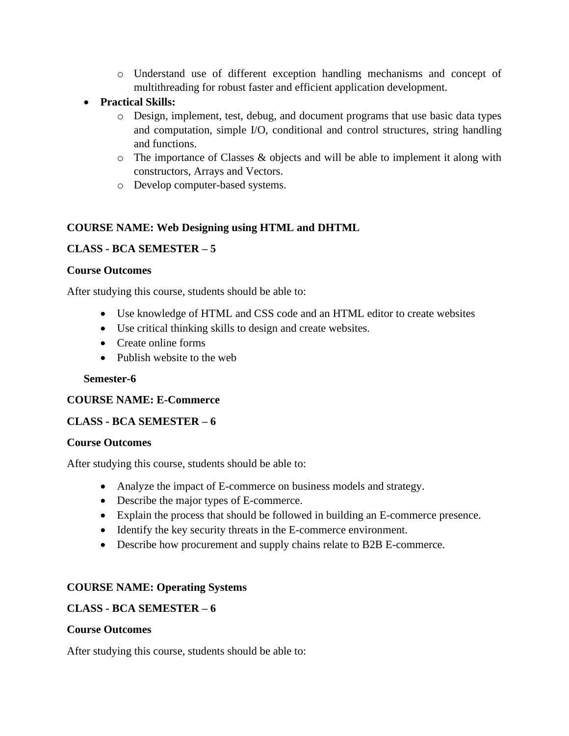- o Understand use of different exception handling mechanisms and concept of multithreading for robust faster and efficient application development.
- **Practical Skills:**
	- o Design, implement, test, debug, and document programs that use basic data types and computation, simple I/O, conditional and control structures, string handling and functions.
	- $\circ$  The importance of Classes & objects and will be able to implement it along with constructors, Arrays and Vectors.
	- o Develop computer-based systems.

# **COURSE NAME: Web Designing using HTML and DHTML**

## **CLASS - BCA SEMESTER – 5**

#### **Course Outcomes**

After studying this course, students should be able to:

- Use knowledge of HTML and CSS code and an HTML editor to create websites
- Use critical thinking skills to design and create websites.
- Create online forms
- Publish website to the web

### **Semester-6**

### **COURSE NAME: E-Commerce**

### **CLASS - BCA SEMESTER – 6**

#### **Course Outcomes**

After studying this course, students should be able to:

- Analyze the impact of E-commerce on business models and strategy.
- Describe the major types of E-commerce.
- Explain the process that should be followed in building an E-commerce presence.
- Identify the key security threats in the E-commerce environment.
- Describe how procurement and supply chains relate to B2B E-commerce.

### **COURSE NAME: Operating Systems**

### **CLASS - BCA SEMESTER – 6**

#### **Course Outcomes**